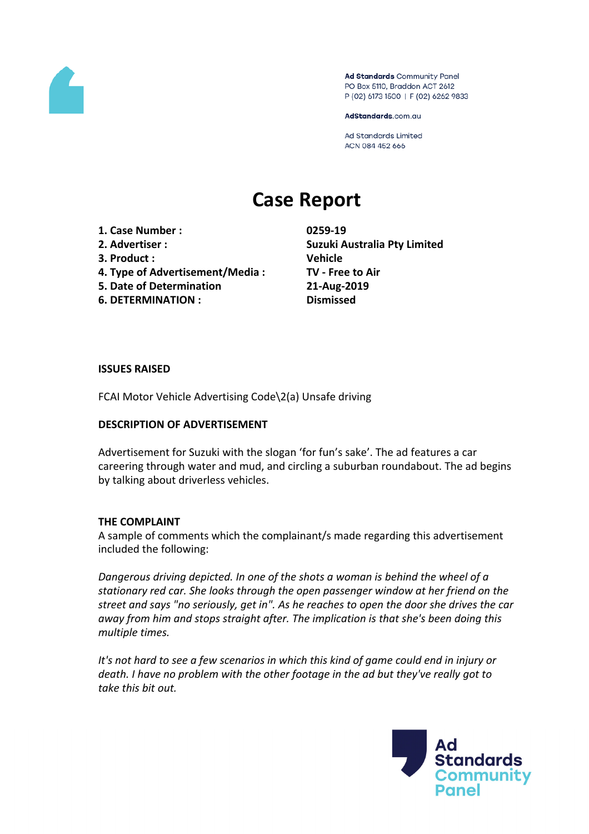

Ad Standards Community Panel PO Box 5110, Braddon ACT 2612 P (02) 6173 1500 | F (02) 6262 9833

AdStandards.com.au

Ad Standards Limited ACN 084 452 666

# **Case Report**

- **1. Case Number : 0259-19**
- 
- **3. Product : Vehicle**
- **4. Type of Advertisement/Media : TV - Free to Air**
- **5. Date of Determination 21-Aug-2019**
- **6. DETERMINATION : Dismissed**

**2. Advertiser : Suzuki Australia Pty Limited**

## **ISSUES RAISED**

FCAI Motor Vehicle Advertising Code\2(a) Unsafe driving

## **DESCRIPTION OF ADVERTISEMENT**

Advertisement for Suzuki with the slogan 'for fun's sake'. The ad features a car careering through water and mud, and circling a suburban roundabout. The ad begins by talking about driverless vehicles.

## **THE COMPLAINT**

A sample of comments which the complainant/s made regarding this advertisement included the following:

*Dangerous driving depicted. In one of the shots a woman is behind the wheel of a stationary red car. She looks through the open passenger window at her friend on the street and says "no seriously, get in". As he reaches to open the door she drives the car away from him and stops straight after. The implication is that she's been doing this multiple times.*

*It's not hard to see a few scenarios in which this kind of game could end in injury or death. I have no problem with the other footage in the ad but they've really got to take this bit out.*

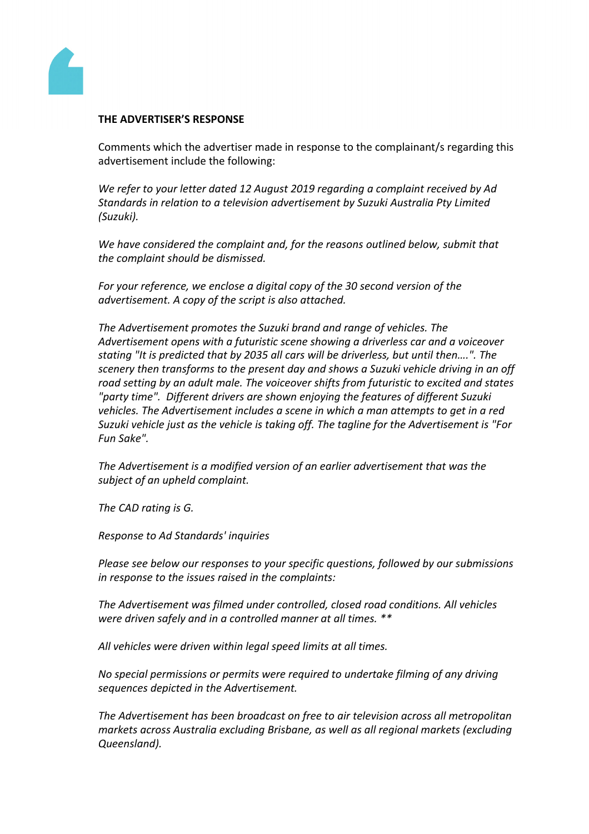

### **THE ADVERTISER'S RESPONSE**

Comments which the advertiser made in response to the complainant/s regarding this advertisement include the following:

*We refer to your letter dated 12 August 2019 regarding a complaint received by Ad Standards in relation to a television advertisement by Suzuki Australia Pty Limited (Suzuki).*

*We have considered the complaint and, for the reasons outlined below, submit that the complaint should be dismissed.*

*For your reference, we enclose a digital copy of the 30 second version of the advertisement. A copy of the script is also attached.*

*The Advertisement promotes the Suzuki brand and range of vehicles. The Advertisement opens with a futuristic scene showing a driverless car and a voiceover stating "It is predicted that by 2035 all cars will be driverless, but until then….". The scenery then transforms to the present day and shows a Suzuki vehicle driving in an off road setting by an adult male. The voiceover shifts from futuristic to excited and states "party time". Different drivers are shown enjoying the features of different Suzuki vehicles. The Advertisement includes a scene in which a man attempts to get in a red Suzuki vehicle just as the vehicle is taking off. The tagline for the Advertisement is "For Fun Sake".*

*The Advertisement is a modified version of an earlier advertisement that was the subject of an upheld complaint.*

*The CAD rating is G.*

*Response to Ad Standards' inquiries*

*Please see below our responses to your specific questions, followed by our submissions in response to the issues raised in the complaints:*

*The Advertisement was filmed under controlled, closed road conditions. All vehicles were driven safely and in a controlled manner at all times. \*\**

*All vehicles were driven within legal speed limits at all times.*

*No special permissions or permits were required to undertake filming of any driving sequences depicted in the Advertisement.*

*The Advertisement has been broadcast on free to air television across all metropolitan markets across Australia excluding Brisbane, as well as all regional markets (excluding Queensland).*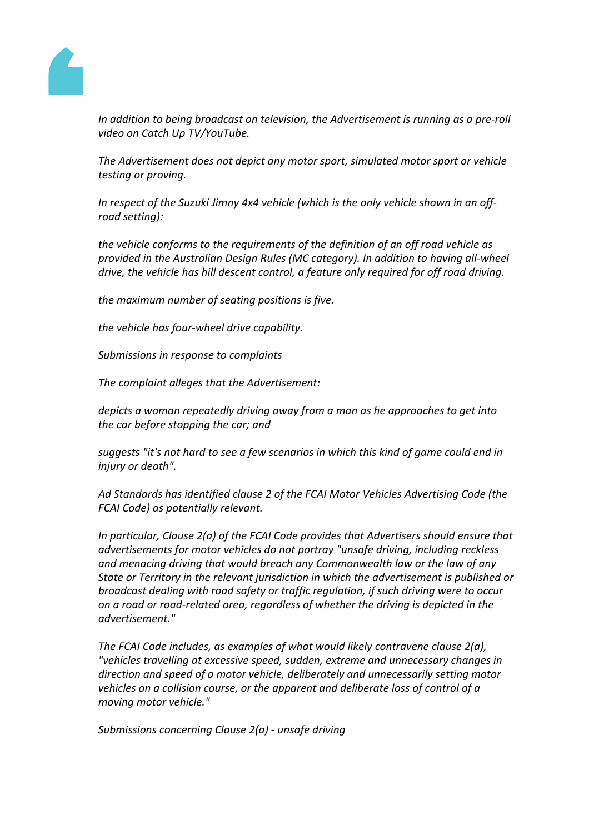

*In addition to being broadcast on television, the Advertisement is running as a pre-roll video on Catch Up TV/YouTube.*

*The Advertisement does not depict any motor sport, simulated motor sport or vehicle testing or proving.*

*In respect of the Suzuki Jimny 4x4 vehicle (which is the only vehicle shown in an offroad setting):*

*the vehicle conforms to the requirements of the definition of an off road vehicle as provided in the Australian Design Rules (MC category). In addition to having all-wheel drive, the vehicle has hill descent control, a feature only required for off road driving.*

*the maximum number of seating positions is five.*

*the vehicle has four-wheel drive capability.*

*Submissions in response to complaints*

*The complaint alleges that the Advertisement:*

*depicts a woman repeatedly driving away from a man as he approaches to get into the car before stopping the car; and*

*suggests "it's not hard to see a few scenarios in which this kind of game could end in injury or death".*

*Ad Standards has identified clause 2 of the FCAI Motor Vehicles Advertising Code (the FCAI Code) as potentially relevant.*

*In particular, Clause 2(a) of the FCAI Code provides that Advertisers should ensure that advertisements for motor vehicles do not portray "unsafe driving, including reckless and menacing driving that would breach any Commonwealth law or the law of any State or Territory in the relevant jurisdiction in which the advertisement is published or broadcast dealing with road safety or traffic regulation, if such driving were to occur on a road or road-related area, regardless of whether the driving is depicted in the advertisement."*

*The FCAI Code includes, as examples of what would likely contravene clause 2(a), "vehicles travelling at excessive speed, sudden, extreme and unnecessary changes in direction and speed of a motor vehicle, deliberately and unnecessarily setting motor vehicles on a collision course, or the apparent and deliberate loss of control of a moving motor vehicle."*

*Submissions concerning Clause 2(a) - unsafe driving*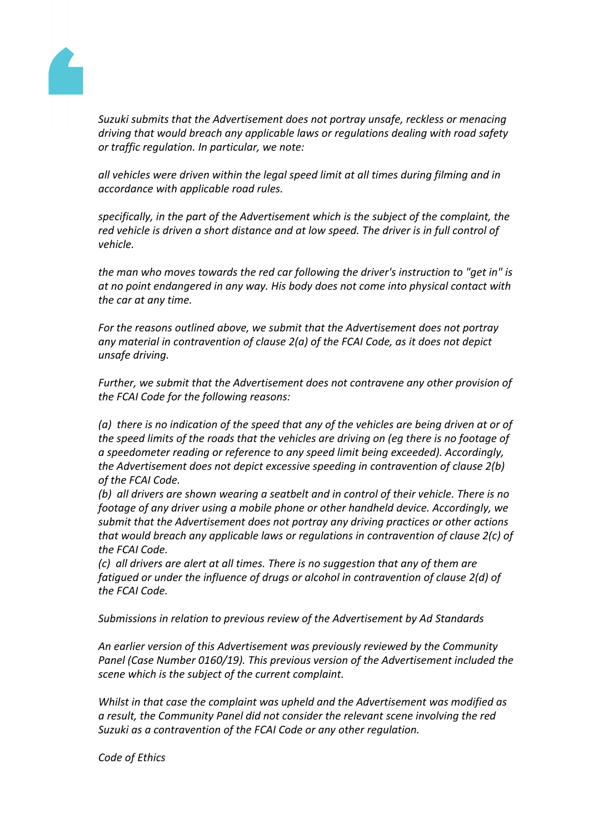

*Suzuki submits that the Advertisement does not portray unsafe, reckless or menacing driving that would breach any applicable laws or regulations dealing with road safety or traffic regulation. In particular, we note:*

*all vehicles were driven within the legal speed limit at all times during filming and in accordance with applicable road rules.*

*specifically, in the part of the Advertisement which is the subject of the complaint, the red vehicle is driven a short distance and at low speed. The driver is in full control of vehicle.*

*the man who moves towards the red car following the driver's instruction to "get in" is at no point endangered in any way. His body does not come into physical contact with the car at any time.*

*For the reasons outlined above, we submit that the Advertisement does not portray any material in contravention of clause 2(a) of the FCAI Code, as it does not depict unsafe driving.*

*Further, we submit that the Advertisement does not contravene any other provision of the FCAI Code for the following reasons:*

*(a) there is no indication of the speed that any of the vehicles are being driven at or of the speed limits of the roads that the vehicles are driving on (eg there is no footage of a speedometer reading or reference to any speed limit being exceeded). Accordingly, the Advertisement does not depict excessive speeding in contravention of clause 2(b) of the FCAI Code.*

*(b) all drivers are shown wearing a seatbelt and in control of their vehicle. There is no footage of any driver using a mobile phone or other handheld device. Accordingly, we submit that the Advertisement does not portray any driving practices or other actions that would breach any applicable laws or regulations in contravention of clause 2(c) of the FCAI Code.*

*(c) all drivers are alert at all times. There is no suggestion that any of them are fatigued or under the influence of drugs or alcohol in contravention of clause 2(d) of the FCAI Code.*

*Submissions in relation to previous review of the Advertisement by Ad Standards*

*An earlier version of this Advertisement was previously reviewed by the Community Panel (Case Number 0160/19). This previous version of the Advertisement included the scene which is the subject of the current complaint.*

*Whilst in that case the complaint was upheld and the Advertisement was modified as a result, the Community Panel did not consider the relevant scene involving the red Suzuki as a contravention of the FCAI Code or any other regulation.*

*Code of Ethics*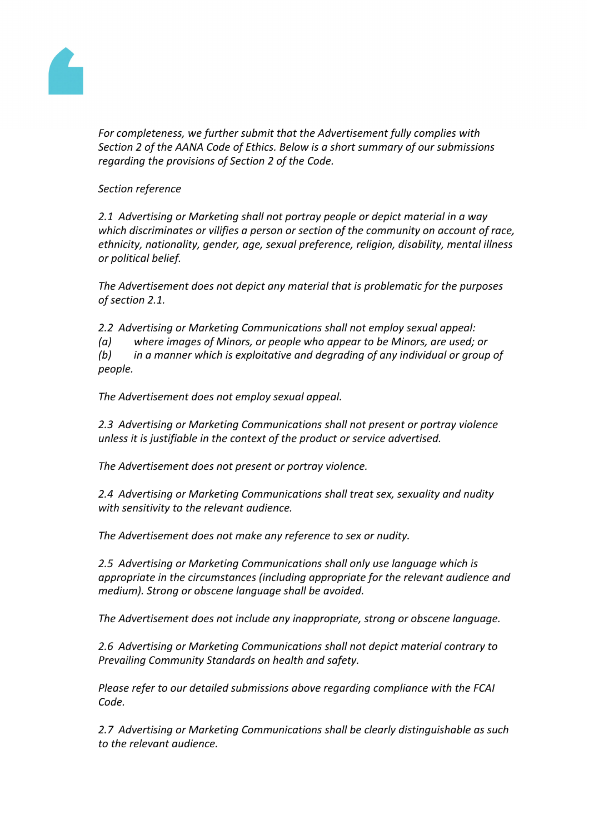

*For completeness, we further submit that the Advertisement fully complies with Section 2 of the AANA Code of Ethics. Below is a short summary of our submissions regarding the provisions of Section 2 of the Code.*

*Section reference*

*2.1 Advertising or Marketing shall not portray people or depict material in a way which discriminates or vilifies a person or section of the community on account of race, ethnicity, nationality, gender, age, sexual preference, religion, disability, mental illness or political belief.*

*The Advertisement does not depict any material that is problematic for the purposes of section 2.1.*

*2.2 Advertising or Marketing Communications shall not employ sexual appeal:*

*(a) where images of Minors, or people who appear to be Minors, are used; or*

*(b) in a manner which is exploitative and degrading of any individual or group of people.*

*The Advertisement does not employ sexual appeal.* 

*2.3 Advertising or Marketing Communications shall not present or portray violence unless it is justifiable in the context of the product or service advertised.*

*The Advertisement does not present or portray violence.*

*2.4 Advertising or Marketing Communications shall treat sex, sexuality and nudity with sensitivity to the relevant audience.*

*The Advertisement does not make any reference to sex or nudity.* 

*2.5 Advertising or Marketing Communications shall only use language which is appropriate in the circumstances (including appropriate for the relevant audience and medium). Strong or obscene language shall be avoided.*

*The Advertisement does not include any inappropriate, strong or obscene language.*

*2.6 Advertising or Marketing Communications shall not depict material contrary to Prevailing Community Standards on health and safety.*

*Please refer to our detailed submissions above regarding compliance with the FCAI Code.*

*2.7 Advertising or Marketing Communications shall be clearly distinguishable as such to the relevant audience.*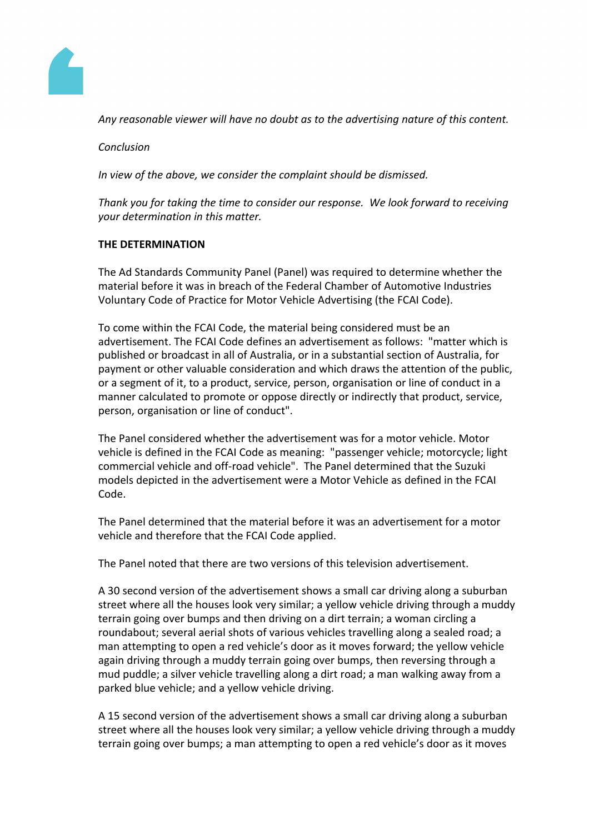

*Any reasonable viewer will have no doubt as to the advertising nature of this content.*

*Conclusion*

*In view of the above, we consider the complaint should be dismissed.*

*Thank you for taking the time to consider our response. We look forward to receiving your determination in this matter.*

## **THE DETERMINATION**

The Ad Standards Community Panel (Panel) was required to determine whether the material before it was in breach of the Federal Chamber of Automotive Industries Voluntary Code of Practice for Motor Vehicle Advertising (the FCAI Code).

To come within the FCAI Code, the material being considered must be an advertisement. The FCAI Code defines an advertisement as follows: "matter which is published or broadcast in all of Australia, or in a substantial section of Australia, for payment or other valuable consideration and which draws the attention of the public, or a segment of it, to a product, service, person, organisation or line of conduct in a manner calculated to promote or oppose directly or indirectly that product, service, person, organisation or line of conduct".

The Panel considered whether the advertisement was for a motor vehicle. Motor vehicle is defined in the FCAI Code as meaning: "passenger vehicle; motorcycle; light commercial vehicle and off-road vehicle". The Panel determined that the Suzuki models depicted in the advertisement were a Motor Vehicle as defined in the FCAI Code.

The Panel determined that the material before it was an advertisement for a motor vehicle and therefore that the FCAI Code applied.

The Panel noted that there are two versions of this television advertisement.

A 30 second version of the advertisement shows a small car driving along a suburban street where all the houses look very similar; a yellow vehicle driving through a muddy terrain going over bumps and then driving on a dirt terrain; a woman circling a roundabout; several aerial shots of various vehicles travelling along a sealed road; a man attempting to open a red vehicle's door as it moves forward; the yellow vehicle again driving through a muddy terrain going over bumps, then reversing through a mud puddle; a silver vehicle travelling along a dirt road; a man walking away from a parked blue vehicle; and a yellow vehicle driving.

A 15 second version of the advertisement shows a small car driving along a suburban street where all the houses look very similar; a yellow vehicle driving through a muddy terrain going over bumps; a man attempting to open a red vehicle's door as it moves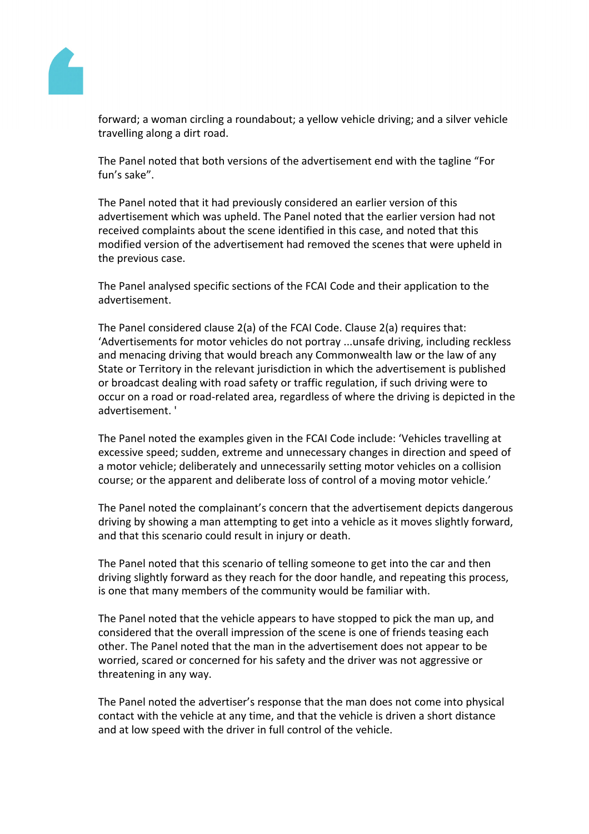

forward; a woman circling a roundabout; a yellow vehicle driving; and a silver vehicle travelling along a dirt road.

The Panel noted that both versions of the advertisement end with the tagline "For fun's sake".

The Panel noted that it had previously considered an earlier version of this advertisement which was upheld. The Panel noted that the earlier version had not received complaints about the scene identified in this case, and noted that this modified version of the advertisement had removed the scenes that were upheld in the previous case.

The Panel analysed specific sections of the FCAI Code and their application to the advertisement.

The Panel considered clause 2(a) of the FCAI Code. Clause 2(a) requires that: 'Advertisements for motor vehicles do not portray ...unsafe driving, including reckless and menacing driving that would breach any Commonwealth law or the law of any State or Territory in the relevant jurisdiction in which the advertisement is published or broadcast dealing with road safety or traffic regulation, if such driving were to occur on a road or road-related area, regardless of where the driving is depicted in the advertisement. '

The Panel noted the examples given in the FCAI Code include: 'Vehicles travelling at excessive speed; sudden, extreme and unnecessary changes in direction and speed of a motor vehicle; deliberately and unnecessarily setting motor vehicles on a collision course; or the apparent and deliberate loss of control of a moving motor vehicle.'

The Panel noted the complainant's concern that the advertisement depicts dangerous driving by showing a man attempting to get into a vehicle as it moves slightly forward, and that this scenario could result in injury or death.

The Panel noted that this scenario of telling someone to get into the car and then driving slightly forward as they reach for the door handle, and repeating this process, is one that many members of the community would be familiar with.

The Panel noted that the vehicle appears to have stopped to pick the man up, and considered that the overall impression of the scene is one of friends teasing each other. The Panel noted that the man in the advertisement does not appear to be worried, scared or concerned for his safety and the driver was not aggressive or threatening in any way.

The Panel noted the advertiser's response that the man does not come into physical contact with the vehicle at any time, and that the vehicle is driven a short distance and at low speed with the driver in full control of the vehicle.